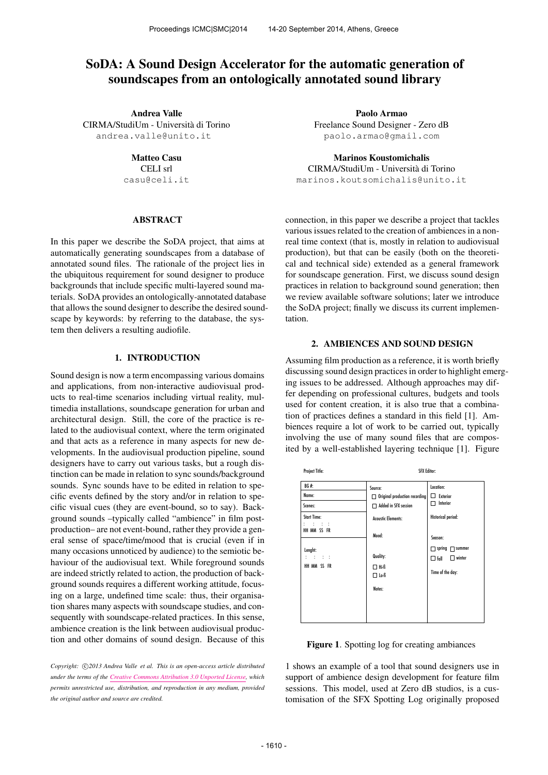# SoDA: A Sound Design Accelerator for the automatic generation of soundscapes from an ontologically annotated sound library

Andrea Valle CIRMA/StudiUm - Universita di Torino ` [andrea.valle@unito.it](mailto:andrea.valle@unito.it)

Matteo Casu

CELI srl [casu@celi.it](mailto:author3@smcnetwork.org)

# ABSTRACT

In this paper we describe the SoDA project, that aims at automatically generating soundscapes from a database of annotated sound files. The rationale of the project lies in the ubiquitous requirement for sound designer to produce backgrounds that include specific multi-layered sound materials. SoDA provides an ontologically-annotated database that allows the sound designer to describe the desired soundscape by keywords: by referring to the database, the system then delivers a resulting audiofile.

# 1. INTRODUCTION

Sound design is now a term encompassing various domains and applications, from non-interactive audiovisual products to real-time scenarios including virtual reality, multimedia installations, soundscape generation for urban and architectural design. Still, the core of the practice is related to the audiovisual context, where the term originated and that acts as a reference in many aspects for new developments. In the audiovisual production pipeline, sound designers have to carry out various tasks, but a rough distinction can be made in relation to sync sounds/background sounds. Sync sounds have to be edited in relation to specific events defined by the story and/or in relation to specific visual cues (they are event-bound, so to say). Background sounds –typically called "ambience" in film postproduction– are not event-bound, rather they provide a general sense of space/time/mood that is crucial (even if in many occasions unnoticed by audience) to the semiotic behaviour of the audiovisual text. While foreground sounds are indeed strictly related to action, the production of background sounds requires a different working attitude, focusing on a large, undefined time scale: thus, their organisation shares many aspects with soundscape studies, and consequently with soundscape-related practices. In this sense, ambience creation is the link between audiovisual production and other domains of sound design. Because of this

Copyright:  $\bigcirc$ 2013 Andrea Valle et al. This is an open-access article distributed *under the terms of the [Creative Commons Attribution 3.0 Unported License,](http://creativecommons.org/licenses/by/3.0/) which permits unrestricted use, distribution, and reproduction in any medium, provided the original author and source are credited.*

Paolo Armao Freelance Sound Designer - Zero dB [paolo.armao@gmail.com](mailto:paolo.armao@gmail.com)

Marinos Koustomichalis CIRMA/StudiUm - Universita di Torino ` [marinos.koutsomichalis@unito.it](mailto:marinos.koutsomichalis@unito.it)

connection, in this paper we describe a project that tackles various issues related to the creation of ambiences in a nonreal time context (that is, mostly in relation to audiovisual production), but that can be easily (both on the theoretical and technical side) extended as a general framework for soundscape generation. First, we discuss sound design practices in relation to background sound generation; then we review available software solutions; later we introduce the SoDA project; finally we discuss its current implementation.

#### 2. AMBIENCES AND SOUND DESIGN

Assuming film production as a reference, it is worth briefly discussing sound design practices in order to highlight emerging issues to be addressed. Although approaches may differ depending on professional cultures, budgets and tools used for content creation, it is also true that a combination of practices defines a standard in this field [1]. Ambiences require a lot of work to be carried out, typically involving the use of many sound files that are composited by a well-established layering technique [1]. Figure

| <b>Project Title:</b>                                      | <b>SFX Editor:</b>                                                                                   |                                                                                            |
|------------------------------------------------------------|------------------------------------------------------------------------------------------------------|--------------------------------------------------------------------------------------------|
| BG#:<br>Name:<br>Scenes:<br><b>Start Time:</b><br>r roman  | Source:<br>$\Box$ Original production recording<br>Added in SFX session<br><b>Acoustic Elements:</b> | Location:<br>$\Box$ Exterior<br>Interior<br>ΓI<br>Historical period:                       |
| HH MM SS FR<br>Lenght:<br>on the first<br>t<br>HH MM SS FR | Mood:<br>Quality:<br>$\Box$ Hi-fi<br>$\square$ Lo-fi<br>Notes:                                       | Season:<br>$\Box$ spring $\Box$ summer<br>$\Box$ winter<br>$\Box$ fall<br>Time of the day: |

Figure 1. Spotting log for creating ambiances

1 shows an example of a tool that sound designers use in support of ambience design development for feature film sessions. This model, used at Zero dB studios, is a customisation of the SFX Spotting Log originally proposed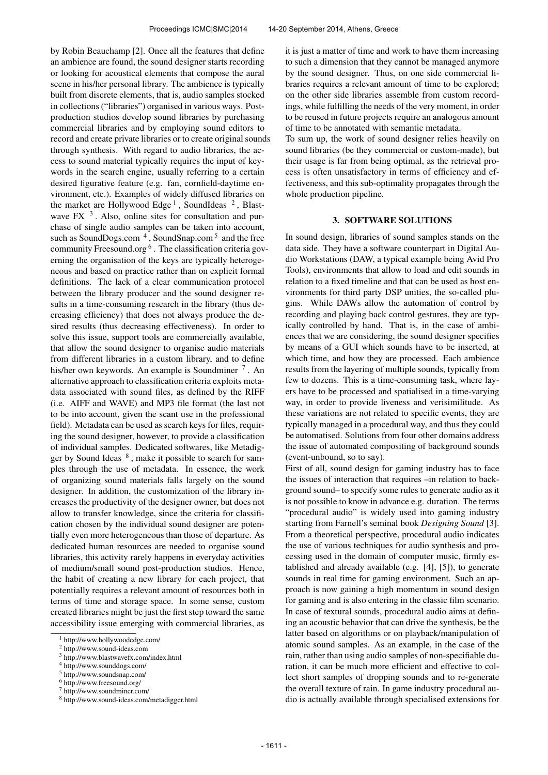by Robin Beauchamp [2]. Once all the features that define an ambience are found, the sound designer starts recording or looking for acoustical elements that compose the aural scene in his/her personal library. The ambience is typically built from discrete elements, that is, audio samples stocked in collections ("libraries") organised in various ways. Postproduction studios develop sound libraries by purchasing commercial libraries and by employing sound editors to record and create private libraries or to create original sounds through synthesis. With regard to audio libraries, the access to sound material typically requires the input of keywords in the search engine, usually referring to a certain desired figurative feature (e.g. fan, cornfield-daytime environment, etc.). Examples of widely diffused libraries on the market are Hollywood Edge<sup>1</sup>, SoundIdeas<sup>2</sup>, Blastwave FX $<sup>3</sup>$ . Also, online sites for consultation and pur-</sup> chase of single audio samples can be taken into account, such as SoundDogs.com<sup>4</sup>, SoundSnap.com<sup>5</sup> and the free community Freesound.org <sup>6</sup>. The classification criteria governing the organisation of the keys are typically heterogeneous and based on practice rather than on explicit formal definitions. The lack of a clear communication protocol between the library producer and the sound designer results in a time-consuming research in the library (thus decreasing efficiency) that does not always produce the desired results (thus decreasing effectiveness). In order to solve this issue, support tools are commercially available, that allow the sound designer to organise audio materials from different libraries in a custom library, and to define his/her own keywords. An example is Soundminer<sup>7</sup>. An alternative approach to classification criteria exploits metadata associated with sound files, as defined by the RIFF (i.e. AIFF and WAVE) and MP3 file format (the last not to be into account, given the scant use in the professional field). Metadata can be used as search keys for files, requiring the sound designer, however, to provide a classification of individual samples. Dedicated softwares, like Metadigger by Sound Ideas  $8$ , make it possible to search for samples through the use of metadata. In essence, the work of organizing sound materials falls largely on the sound designer. In addition, the customization of the library increases the productivity of the designer owner, but does not allow to transfer knowledge, since the criteria for classification chosen by the individual sound designer are potentially even more heterogeneous than those of departure. As dedicated human resources are needed to organise sound libraries, this activity rarely happens in everyday activities of medium/small sound post-production studios. Hence, the habit of creating a new library for each project, that potentially requires a relevant amount of resources both in terms of time and storage space. In some sense, custom created libraries might be just the first step toward the same accessibility issue emerging with commercial libraries, as

it is just a matter of time and work to have them increasing to such a dimension that they cannot be managed anymore by the sound designer. Thus, on one side commercial libraries requires a relevant amount of time to be explored; on the other side libraries assemble from custom recordings, while fulfilling the needs of the very moment, in order to be reused in future projects require an analogous amount of time to be annotated with semantic metadata.

To sum up, the work of sound designer relies heavily on sound libraries (be they commercial or custom-made), but their usage is far from being optimal, as the retrieval process is often unsatisfactory in terms of efficiency and effectiveness, and this sub-optimality propagates through the whole production pipeline.

## 3. SOFTWARE SOLUTIONS

In sound design, libraries of sound samples stands on the data side. They have a software counterpart in Digital Audio Workstations (DAW, a typical example being Avid Pro Tools), environments that allow to load and edit sounds in relation to a fixed timeline and that can be used as host environments for third party DSP unities, the so-called plugins. While DAWs allow the automation of control by recording and playing back control gestures, they are typically controlled by hand. That is, in the case of ambiences that we are considering, the sound designer specifies by means of a GUI which sounds have to be inserted, at which time, and how they are processed. Each ambience results from the layering of multiple sounds, typically from few to dozens. This is a time-consuming task, where layers have to be processed and spatialised in a time-varying way, in order to provide liveness and verisimilitude. As these variations are not related to specific events, they are typically managed in a procedural way, and thus they could be automatised. Solutions from four other domains address the issue of automated compositing of background sounds (event-unbound, so to say).

First of all, sound design for gaming industry has to face the issues of interaction that requires –in relation to background sound– to specify some rules to generate audio as it is not possible to know in advance e.g. duration. The terms "procedural audio" is widely used into gaming industry starting from Farnell's seminal book *Designing Sound* [3]. From a theoretical perspective, procedural audio indicates the use of various techniques for audio synthesis and processing used in the domain of computer music, firmly established and already available (e.g. [4], [5]), to generate sounds in real time for gaming environment. Such an approach is now gaining a high momentum in sound design for gaming and is also entering in the classic film scenario. In case of textural sounds, procedural audio aims at defining an acoustic behavior that can drive the synthesis, be the latter based on algorithms or on playback/manipulation of atomic sound samples. As an example, in the case of the rain, rather than using audio samples of non-specifiable duration, it can be much more efficient and effective to collect short samples of dropping sounds and to re-generate the overall texture of rain. In game industry procedural audio is actually available through specialised extensions for

<sup>1</sup> http://www.hollywoodedge.com/

<sup>2</sup> http://www.sound-ideas.com

<sup>3</sup> http://www.blastwavefx.com/index.html

<sup>4</sup> http://www.sounddogs.com/

<sup>5</sup> http://www.soundsnap.com/

<sup>6</sup> http://www.freesound.org/

<sup>7</sup> http://www.soundminer.com/

<sup>8</sup> http://www.sound-ideas.com/metadigger.html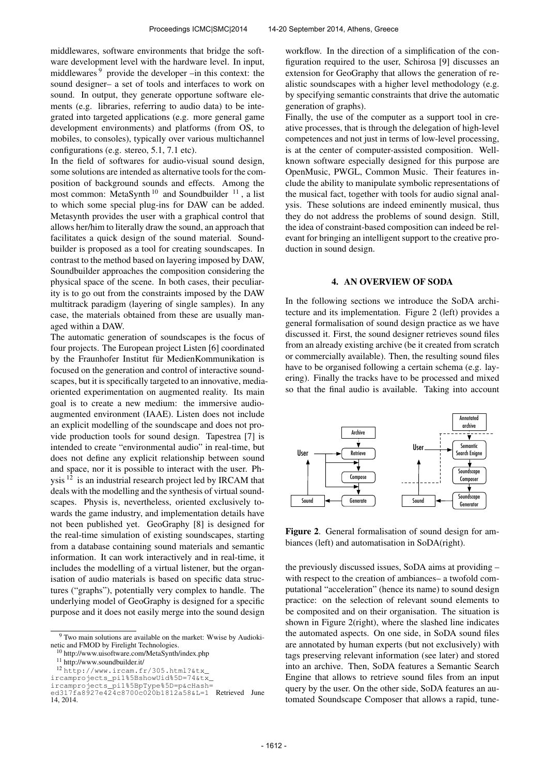middlewares, software environments that bridge the software development level with the hardware level. In input, middlewares <sup>9</sup> provide the developer –in this context: the sound designer– a set of tools and interfaces to work on sound. In output, they generate opportune software elements (e.g. libraries, referring to audio data) to be integrated into targeted applications (e.g. more general game development environments) and platforms (from OS, to mobiles, to consoles), typically over various multichannel configurations (e.g. stereo, 5.1, 7.1 etc).

In the field of softwares for audio-visual sound design, some solutions are intended as alternative tools for the composition of background sounds and effects. Among the most common: MetaSynth<sup>10</sup> and Soundbuilder<sup>11</sup>, a list to which some special plug-ins for DAW can be added. Metasynth provides the user with a graphical control that allows her/him to literally draw the sound, an approach that facilitates a quick design of the sound material. Soundbuilder is proposed as a tool for creating soundscapes. In contrast to the method based on layering imposed by DAW, Soundbuilder approaches the composition considering the physical space of the scene. In both cases, their peculiarity is to go out from the constraints imposed by the DAW multitrack paradigm (layering of single samples). In any case, the materials obtained from these are usually managed within a DAW.

The automatic generation of soundscapes is the focus of four projects. The European project Listen [6] coordinated by the Fraunhofer Institut für MedienKommunikation is focused on the generation and control of interactive soundscapes, but it is specifically targeted to an innovative, mediaoriented experimentation on augmented reality. Its main goal is to create a new medium: the immersive audioaugmented environment (IAAE). Listen does not include an explicit modelling of the soundscape and does not provide production tools for sound design. Tapestrea [7] is intended to create "environmental audio" in real-time, but does not define any explicit relationship between sound and space, nor it is possible to interact with the user. Physis <sup>12</sup> is an industrial research project led by IRCAM that deals with the modelling and the synthesis of virtual soundscapes. Physis is, nevertheless, oriented exclusively towards the game industry, and implementation details have not been published yet. GeoGraphy [8] is designed for the real-time simulation of existing soundscapes, starting from a database containing sound materials and semantic information. It can work interactively and in real-time, it includes the modelling of a virtual listener, but the organisation of audio materials is based on specific data structures ("graphs"), potentially very complex to handle. The underlying model of GeoGraphy is designed for a specific purpose and it does not easily merge into the sound design

<sup>11</sup> http://www.soundbuilder.it/

workflow. In the direction of a simplification of the configuration required to the user, Schirosa [9] discusses an extension for GeoGraphy that allows the generation of realistic soundscapes with a higher level methodology (e.g. by specifying semantic constraints that drive the automatic generation of graphs).

Finally, the use of the computer as a support tool in creative processes, that is through the delegation of high-level competences and not just in terms of low-level processing, is at the center of computer-assisted composition. Wellknown software especially designed for this purpose are OpenMusic, PWGL, Common Music. Their features include the ability to manipulate symbolic representations of the musical fact, together with tools for audio signal analysis. These solutions are indeed eminently musical, thus they do not address the problems of sound design. Still, the idea of constraint-based composition can indeed be relevant for bringing an intelligent support to the creative production in sound design.

#### 4. AN OVERVIEW OF SODA

In the following sections we introduce the SoDA architecture and its implementation. Figure 2 (left) provides a general formalisation of sound design practice as we have discussed it. First, the sound designer retrieves sound files from an already existing archive (be it created from scratch or commercially available). Then, the resulting sound files have to be organised following a certain schema (e.g. layering). Finally the tracks have to be processed and mixed so that the final audio is available. Taking into account



Figure 2. General formalisation of sound design for ambiances (left) and automatisation in SoDA(right).

the previously discussed issues, SoDA aims at providing – with respect to the creation of ambiances– a twofold computational "acceleration" (hence its name) to sound design practice: on the selection of relevant sound elements to be composited and on their organisation. The situation is shown in Figure 2(right), where the slashed line indicates the automated aspects. On one side, in SoDA sound files are annotated by human experts (but not exclusively) with tags preserving relevant information (see later) and stored into an archive. Then, SoDA features a Semantic Search Engine that allows to retrieve sound files from an input query by the user. On the other side, SoDA features an automated Soundscape Composer that allows a rapid, tune-

<sup>&</sup>lt;sup>9</sup> Two main solutions are available on the market: Wwise by Audiokinetic and FMOD by Firelight Technologies.

<sup>10</sup> http://www.uisoftware.com/MetaSynth/index.php

<sup>12</sup> [http://www.ircam.fr/305.html?&tx\\_](http://www.ircam.fr/305.html?&tx_ircamprojects_pi1%5BshowUid%5D=74&tx_ircamprojects_pi1%5BpType%5D=p&cHash=ed317fa8927e424c8700c020b1812a58&L=1)

[ircamprojects\\_pi1%5BshowUid%5D=74&tx\\_](http://www.ircam.fr/305.html?&tx_ircamprojects_pi1%5BshowUid%5D=74&tx_ircamprojects_pi1%5BpType%5D=p&cHash=ed317fa8927e424c8700c020b1812a58&L=1)

[ircamprojects\\_pi1%5BpType%5D=p&cHash=](http://www.ircam.fr/305.html?&tx_ircamprojects_pi1%5BshowUid%5D=74&tx_ircamprojects_pi1%5BpType%5D=p&cHash=ed317fa8927e424c8700c020b1812a58&L=1) [ed317fa8927e424c8700c020b1812a58&L=1](http://www.ircam.fr/305.html?&tx_ircamprojects_pi1%5BshowUid%5D=74&tx_ircamprojects_pi1%5BpType%5D=p&cHash=ed317fa8927e424c8700c020b1812a58&L=1) Retrieved June 14, 2014.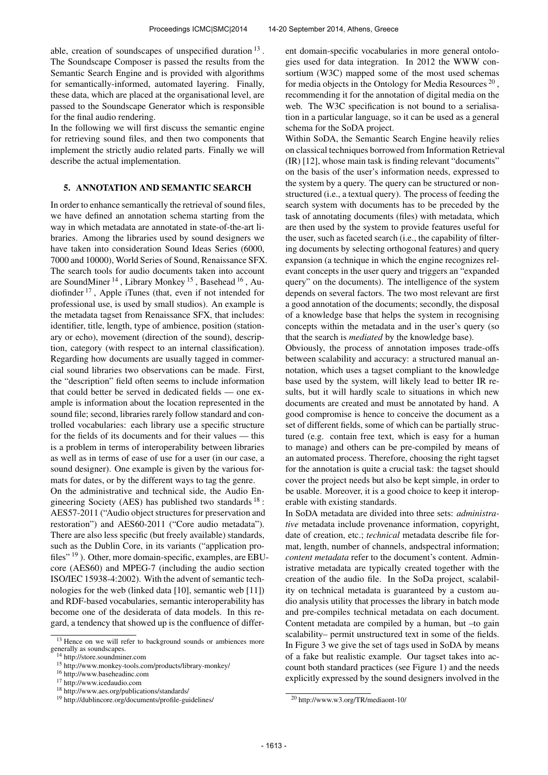able, creation of soundscapes of unspecified duration  $13$ . The Soundscape Composer is passed the results from the Semantic Search Engine and is provided with algorithms for semantically-informed, automated layering. Finally, these data, which are placed at the organisational level, are passed to the Soundscape Generator which is responsible for the final audio rendering.

In the following we will first discuss the semantic engine for retrieving sound files, and then two components that implement the strictly audio related parts. Finally we will describe the actual implementation.

#### 5. ANNOTATION AND SEMANTIC SEARCH

In order to enhance semantically the retrieval of sound files, we have defined an annotation schema starting from the way in which metadata are annotated in state-of-the-art libraries. Among the libraries used by sound designers we have taken into consideration Sound Ideas Series (6000, 7000 and 10000), World Series of Sound, Renaissance SFX. The search tools for audio documents taken into account are SoundMiner<sup>14</sup>, Library Monkey<sup>15</sup>, Basehead<sup>16</sup>, Audiofinder <sup>17</sup> , Apple iTunes (that, even if not intended for professional use, is used by small studios). An example is the metadata tagset from Renaissance SFX, that includes: identifier, title, length, type of ambience, position (stationary or echo), movement (direction of the sound), description, category (with respect to an internal classification). Regarding how documents are usually tagged in commercial sound libraries two observations can be made. First, the "description" field often seems to include information that could better be served in dedicated fields — one example is information about the location represented in the sound file; second, libraries rarely follow standard and controlled vocabularies: each library use a specific structure for the fields of its documents and for their values — this is a problem in terms of interoperability between libraries as well as in terms of ease of use for a user (in our case, a sound designer). One example is given by the various formats for dates, or by the different ways to tag the genre.

On the administrative and technical side, the Audio Engineering Society (AES) has published two standards  $18$ : AES57-2011 ("Audio object structures for preservation and restoration") and AES60-2011 ("Core audio metadata"). There are also less specific (but freely available) standards, such as the Dublin Core, in its variants ("application profiles" 19). Other, more domain-specific, examples, are EBUcore (AES60) and MPEG-7 (including the audio section ISO/IEC 15938-4:2002). With the advent of semantic technologies for the web (linked data [10], semantic web [11]) and RDF-based vocabularies, semantic interoperability has become one of the desiderata of data models. In this regard, a tendency that showed up is the confluence of different domain-specific vocabularies in more general ontologies used for data integration. In 2012 the WWW consortium (W3C) mapped some of the most used schemas for media objects in the Ontology for Media Resources<sup>20</sup>, recommending it for the annotation of digital media on the web. The W3C specification is not bound to a serialisation in a particular language, so it can be used as a general schema for the SoDA project.

Within SoDA, the Semantic Search Engine heavily relies on classical techniques borrowed from Information Retrieval (IR) [12], whose main task is finding relevant "documents" on the basis of the user's information needs, expressed to the system by a query. The query can be structured or nonstructured (i.e., a textual query). The process of feeding the search system with documents has to be preceded by the task of annotating documents (files) with metadata, which are then used by the system to provide features useful for the user, such as faceted search (i.e., the capability of filtering documents by selecting orthogonal features) and query expansion (a technique in which the engine recognizes relevant concepts in the user query and triggers an "expanded query" on the documents). The intelligence of the system depends on several factors. The two most relevant are first a good annotation of the documents; secondly, the disposal of a knowledge base that helps the system in recognising concepts within the metadata and in the user's query (so that the search is *mediated* by the knowledge base).

Obviously, the process of annotation imposes trade-offs between scalability and accuracy: a structured manual annotation, which uses a tagset compliant to the knowledge base used by the system, will likely lead to better IR results, but it will hardly scale to situations in which new documents are created and must be annotated by hand. A good compromise is hence to conceive the document as a set of different fields, some of which can be partially structured (e.g. contain free text, which is easy for a human to manage) and others can be pre-compiled by means of an automated process. Therefore, choosing the right tagset for the annotation is quite a crucial task: the tagset should cover the project needs but also be kept simple, in order to be usable. Moreover, it is a good choice to keep it interoperable with existing standards.

In SoDA metadata are divided into three sets: *administrative* metadata include provenance information, copyright, date of creation, etc.; *technical* metadata describe file format, length, number of channels, andspectral information; *content metadata* refer to the document's content. Administrative metadata are typically created together with the creation of the audio file. In the SoDa project, scalability on technical metadata is guaranteed by a custom audio analysis utility that processes the library in batch mode and pre-compiles technical metadata on each document. Content metadata are compiled by a human, but –to gain scalability– permit unstructured text in some of the fields. In Figure 3 we give the set of tags used in SoDA by means of a fake but realistic example. Our tagset takes into account both standard practices (see Figure 1) and the needs explicitly expressed by the sound designers involved in the

<sup>&</sup>lt;sup>13</sup> Hence on we will refer to background sounds or ambiences more generally as soundscapes.

<sup>14</sup> http://store.soundminer.com

<sup>15</sup> http://www.monkey-tools.com/products/library-monkey/

<sup>16</sup> http://www.baseheadinc.com

<sup>17</sup> http://www.icedaudio.com

<sup>18</sup> http://www.aes.org/publications/standards/

<sup>19</sup> http://dublincore.org/documents/profile-guidelines/

<sup>20</sup> http://www.w3.org/TR/mediaont-10/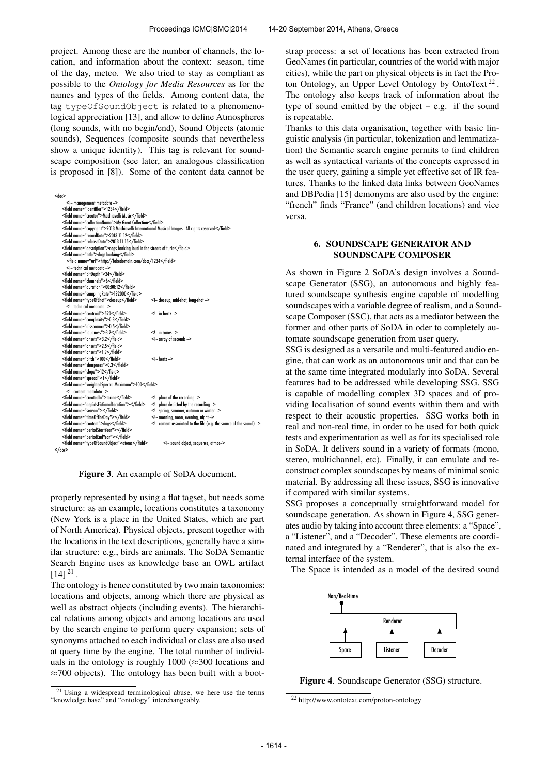project. Among these are the number of channels, the location, and information about the context: season, time of the day, meteo. We also tried to stay as compliant as possible to the *Ontology for Media Resources* as for the names and types of the fields. Among content data, the tag typeOfSoundObject is related to a phenomenological appreciation [13], and allow to define Atmospheres (long sounds, with no begin/end), Sound Objects (atomic sounds), Sequences (composite sounds that nevertheless show a unique identity). This tag is relevant for soundscape composition (see later, an analogous classification is proposed in [8]). Some of the content data cannot be

| $<$ dor>                                                                                            |                                                                   |
|-----------------------------------------------------------------------------------------------------|-------------------------------------------------------------------|
| - management metadata -                                                                             |                                                                   |
| <field name="identifier">1234</field>                                                               |                                                                   |
| <field name="creator">Machiavelli Music</field>                                                     |                                                                   |
| <field name="collectionName">My Great Collection</field>                                            |                                                                   |
| <field name="copyright">2013 Machiavelli International Musical Images - All rights reserved</field> |                                                                   |
| <field name="recordDate">2013-11-12</field>                                                         |                                                                   |
| <field name="releaseDate">2013-11-15</field>                                                        |                                                                   |
| <field name="description">dogs barking loud in the streets of turin</field>                         |                                                                   |
| <field name="title">dogs barking</field>                                                            |                                                                   |
| <field name="url">http://fakedomain.com/docs/1234</field>                                           |                                                                   |
| - technical metadata -                                                                              |                                                                   |
| <field name="bitDepth">24</field>                                                                   |                                                                   |
| <field name="channels">6</field>                                                                    |                                                                   |
| <field name="duration">00:00:12</field>                                                             |                                                                   |
| <field name="samplingRate">192000</field>                                                           |                                                                   |
| <field name="typeOfShot">closeup</field>                                                            | - closeup, mid-shot, long-shot -                                  |
| - technical metadata -                                                                              |                                                                   |
| <field name="centroid">520</field>                                                                  | $<$ !- in hertz ->                                                |
| <field name="complexity">0.8</field>                                                                |                                                                   |
| <field name="dissonance">0.5</field>                                                                |                                                                   |
| <field name="loudness">3.2</field>                                                                  | $<$ !- in sones ->                                                |
| <field name="onsets">3.2</field>                                                                    | - array of seconds -                                              |
| <field name="onsets">2.5</field>                                                                    |                                                                   |
| <field name="onsets">1.9</field>                                                                    |                                                                   |
| <field name="pitch">100</field>                                                                     | $<$ !- hertz ->                                                   |
| <field name="sharpness">0.3</field>                                                                 |                                                                   |
| <field name="slope">12</field>                                                                      |                                                                   |
| <field name="spread">1</field>                                                                      |                                                                   |
| <field name="weightedSpectralMaximum">100</field>                                                   |                                                                   |
| - content metadata -                                                                                |                                                                   |
| <field name="createdIn">torino</field>                                                              | - place of the recording -                                        |
| <field name="depictsFictionalLocation"></field>                                                     | - place depicted by the recording -                               |
| <field name="season"></field>                                                                       | - spring, summer, autumn or winter -                              |
| <field name="timeOfTheDay"></field>                                                                 | - morning, noon, evening, night -                                 |
| <field name="content">dogs</field>                                                                  | - content associated to the file (e.g. the source of the sound) - |
| <field name="periodStartYear"></field>                                                              |                                                                   |
| <field name="periodEndYear"></field>                                                                |                                                                   |
| <field name="typeOfSoundObject">atoms</field>                                                       | - sound object, sequence, atmos-                                  |
| $<$ /doc>                                                                                           |                                                                   |

Figure 3. An example of SoDA document.

properly represented by using a flat tagset, but needs some structure: as an example, locations constitutes a taxonomy (New York is a place in the United States, which are part of North America). Physical objects, present together with the locations in the text descriptions, generally have a similar structure: e.g., birds are animals. The SoDA Semantic Search Engine uses as knowledge base an OWL artifact  $[14]$ <sup>21</sup>.

The ontology is hence constituted by two main taxonomies: locations and objects, among which there are physical as well as abstract objects (including events). The hierarchical relations among objects and among locations are used by the search engine to perform query expansion; sets of synonyms attached to each individual or class are also used at query time by the engine. The total number of individuals in the ontology is roughly 1000 ( $\approx$ 300 locations and  $\approx$ 700 objects). The ontology has been built with a bootstrap process: a set of locations has been extracted from GeoNames (in particular, countries of the world with major cities), while the part on physical objects is in fact the Proton Ontology, an Upper Level Ontology by OntoText<sup>22</sup>. The ontology also keeps track of information about the type of sound emitted by the object  $-$  e.g. if the sound is repeatable.

Thanks to this data organisation, together with basic linguistic analysis (in particular, tokenization and lemmatization) the Semantic search engine permits to find children as well as syntactical variants of the concepts expressed in the user query, gaining a simple yet effective set of IR features. Thanks to the linked data links between GeoNames and DBPedia [15] demonyms are also used by the engine: "french" finds "France" (and children locations) and vice versa.

# 6. SOUNDSCAPE GENERATOR AND SOUNDSCAPE COMPOSER

As shown in Figure 2 SoDA's design involves a Soundscape Generator (SSG), an autonomous and highly featured soundscape synthesis engine capable of modelling soundscapes with a variable degree of realism, and a Soundscape Composer (SSC), that acts as a mediator between the former and other parts of SoDA in oder to completely automate soundscape generation from user query.

SSG is designed as a versatile and multi-featured audio engine, that can work as an autonomous unit and that can be at the same time integrated modularly into SoDA. Several features had to be addressed while developing SSG. SSG is capable of modelling complex 3D spaces and of providing localisation of sound events within them and with respect to their acoustic properties. SSG works both in real and non-real time, in order to be used for both quick tests and experimentation as well as for its specialised role in SoDA. It delivers sound in a variety of formats (mono, stereo, multichannel, etc). Finally, it can emulate and reconstruct complex soundscapes by means of minimal sonic material. By addressing all these issues, SSG is innovative if compared with similar systems.

SSG proposes a conceptually straightforward model for soundscape generation. As shown in Figure 4, SSG generates audio by taking into account three elements: a "Space", a "Listener", and a "Decoder". These elements are coordinated and integrated by a "Renderer", that is also the external interface of the system.

The Space is intended as a model of the desired sound



Figure 4. Soundscape Generator (SSG) structure.

<sup>21</sup> Using a widespread terminological abuse, we here use the terms "knowledge base" and "ontology" interchangeably.

<sup>22</sup> http://www.ontotext.com/proton-ontology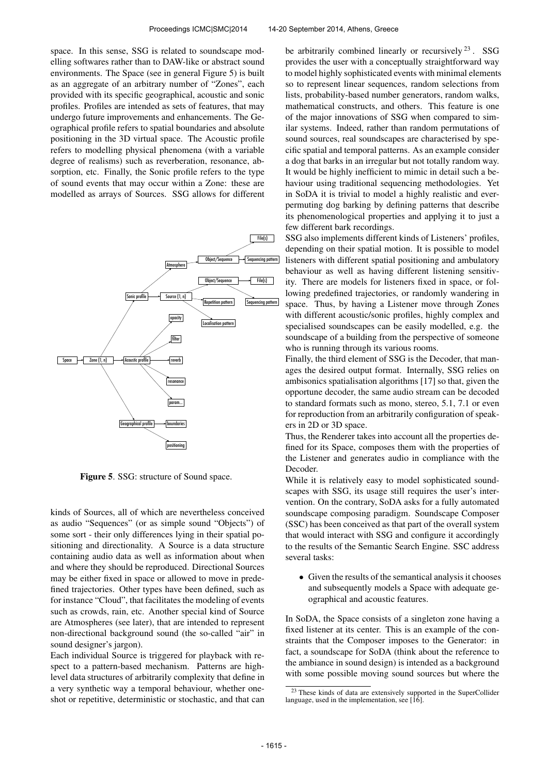space. In this sense, SSG is related to soundscape modelling softwares rather than to DAW-like or abstract sound environments. The Space (see in general Figure 5) is built as an aggregate of an arbitrary number of "Zones", each provided with its specific geographical, acoustic and sonic profiles. Profiles are intended as sets of features, that may undergo future improvements and enhancements. The Geographical profile refers to spatial boundaries and absolute positioning in the 3D virtual space. The Acoustic profile refers to modelling physical phenomena (with a variable degree of realisms) such as reverberation, resonance, absorption, etc. Finally, the Sonic profile refers to the type of sound events that may occur within a Zone: these are modelled as arrays of Sources. SSG allows for different



Figure 5. SSG: structure of Sound space.

kinds of Sources, all of which are nevertheless conceived as audio "Sequences" (or as simple sound "Objects") of some sort - their only differences lying in their spatial positioning and directionality. A Source is a data structure containing audio data as well as information about when and where they should be reproduced. Directional Sources may be either fixed in space or allowed to move in predefined trajectories. Other types have been defined, such as for instance "Cloud", that facilitates the modeling of events such as crowds, rain, etc. Another special kind of Source are Atmospheres (see later), that are intended to represent non-directional background sound (the so-called "air" in sound designer's jargon).

Each individual Source is triggered for playback with respect to a pattern-based mechanism. Patterns are highlevel data structures of arbitrarily complexity that define in a very synthetic way a temporal behaviour, whether oneshot or repetitive, deterministic or stochastic, and that can be arbitrarily combined linearly or recursively  $^{23}$ . SSG provides the user with a conceptually straightforward way to model highly sophisticated events with minimal elements so to represent linear sequences, random selections from lists, probability-based number generators, random walks, mathematical constructs, and others. This feature is one of the major innovations of SSG when compared to similar systems. Indeed, rather than random permutations of sound sources, real soundscapes are characterised by specific spatial and temporal patterns. As an example consider a dog that barks in an irregular but not totally random way. It would be highly inefficient to mimic in detail such a behaviour using traditional sequencing methodologies. Yet in SoDA it is trivial to model a highly realistic and everpermuting dog barking by defining patterns that describe its phenomenological properties and applying it to just a few different bark recordings.

SSG also implements different kinds of Listeners' profiles, depending on their spatial motion. It is possible to model listeners with different spatial positioning and ambulatory behaviour as well as having different listening sensitivity. There are models for listeners fixed in space, or following predefined trajectories, or randomly wandering in space. Thus, by having a Listener move through Zones with different acoustic/sonic profiles, highly complex and specialised soundscapes can be easily modelled, e.g. the soundscape of a building from the perspective of someone who is running through its various rooms.

Finally, the third element of SSG is the Decoder, that manages the desired output format. Internally, SSG relies on ambisonics spatialisation algorithms [17] so that, given the opportune decoder, the same audio stream can be decoded to standard formats such as mono, stereo, 5.1, 7.1 or even for reproduction from an arbitrarily configuration of speakers in 2D or 3D space.

Thus, the Renderer takes into account all the properties defined for its Space, composes them with the properties of the Listener and generates audio in compliance with the Decoder.

While it is relatively easy to model sophisticated soundscapes with SSG, its usage still requires the user's intervention. On the contrary, SoDA asks for a fully automated soundscape composing paradigm. Soundscape Composer (SSC) has been conceived as that part of the overall system that would interact with SSG and configure it accordingly to the results of the Semantic Search Engine. SSC address several tasks:

• Given the results of the semantical analysis it chooses and subsequently models a Space with adequate geographical and acoustic features.

In SoDA, the Space consists of a singleton zone having a fixed listener at its center. This is an example of the constraints that the Composer imposes to the Generator: in fact, a soundscape for SoDA (think about the reference to the ambiance in sound design) is intended as a background with some possible moving sound sources but where the

<sup>&</sup>lt;sup>23</sup> These kinds of data are extensively supported in the SuperCollider language, used in the implementation, see  $[\hat{16}]$ .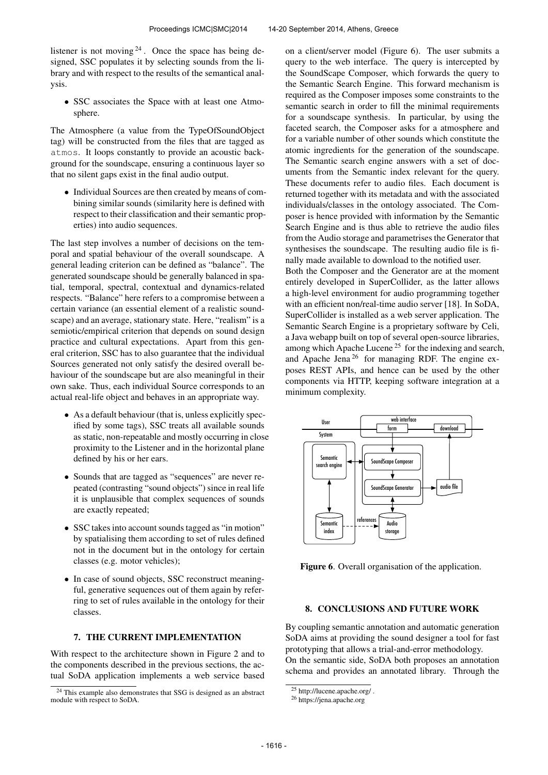listener is not moving  $2^4$ . Once the space has being designed, SSC populates it by selecting sounds from the library and with respect to the results of the semantical analysis.

• SSC associates the Space with at least one Atmosphere.

The Atmosphere (a value from the TypeOfSoundObject tag) will be constructed from the files that are tagged as atmos. It loops constantly to provide an acoustic background for the soundscape, ensuring a continuous layer so that no silent gaps exist in the final audio output.

• Individual Sources are then created by means of combining similar sounds (similarity here is defined with respect to their classification and their semantic properties) into audio sequences.

The last step involves a number of decisions on the temporal and spatial behaviour of the overall soundscape. A general leading criterion can be defined as "balance". The generated soundscape should be generally balanced in spatial, temporal, spectral, contextual and dynamics-related respects. "Balance" here refers to a compromise between a certain variance (an essential element of a realistic soundscape) and an average, stationary state. Here, "realism" is a semiotic/empirical criterion that depends on sound design practice and cultural expectations. Apart from this general criterion, SSC has to also guarantee that the individual Sources generated not only satisfy the desired overall behaviour of the soundscape but are also meaningful in their own sake. Thus, each individual Source corresponds to an actual real-life object and behaves in an appropriate way.

- As a default behaviour (that is, unless explicitly specified by some tags), SSC treats all available sounds as static, non-repeatable and mostly occurring in close proximity to the Listener and in the horizontal plane defined by his or her ears.
- Sounds that are tagged as "sequences" are never repeated (contrasting "sound objects") since in real life it is unplausible that complex sequences of sounds are exactly repeated;
- SSC takes into account sounds tagged as "in motion" by spatialising them according to set of rules defined not in the document but in the ontology for certain classes (e.g. motor vehicles);
- In case of sound objects, SSC reconstruct meaningful, generative sequences out of them again by referring to set of rules available in the ontology for their classes.

# 7. THE CURRENT IMPLEMENTATION

With respect to the architecture shown in Figure 2 and to the components described in the previous sections, the actual SoDA application implements a web service based on a client/server model (Figure 6). The user submits a query to the web interface. The query is intercepted by the SoundScape Composer, which forwards the query to the Semantic Search Engine. This forward mechanism is required as the Composer imposes some constraints to the semantic search in order to fill the minimal requirements for a soundscape synthesis. In particular, by using the faceted search, the Composer asks for a atmosphere and for a variable number of other sounds which constitute the atomic ingredients for the generation of the soundscape. The Semantic search engine answers with a set of documents from the Semantic index relevant for the query. These documents refer to audio files. Each document is returned together with its metadata and with the associated individuals/classes in the ontology associated. The Composer is hence provided with information by the Semantic Search Engine and is thus able to retrieve the audio files from the Audio storage and parametrises the Generator that synthesises the soundscape. The resulting audio file is finally made available to download to the notified user. Both the Composer and the Generator are at the moment entirely developed in SuperCollider, as the latter allows a high-level environment for audio programming together with an efficient non/real-time audio server [18]. In SoDA, SuperCollider is installed as a web server application. The Semantic Search Engine is a proprietary software by Celi, a Java webapp built on top of several open-source libraries,

among which Apache Lucene<sup>25</sup> for the indexing and search, and Apache Jena <sup>26</sup> for managing RDF. The engine exposes REST APIs, and hence can be used by the other components via HTTP, keeping software integration at a minimum complexity.



Figure 6. Overall organisation of the application.

# 8. CONCLUSIONS AND FUTURE WORK

By coupling semantic annotation and automatic generation SoDA aims at providing the sound designer a tool for fast prototyping that allows a trial-and-error methodology.

On the semantic side, SoDA both proposes an annotation schema and provides an annotated library. Through the

<sup>24</sup> This example also demonstrates that SSG is designed as an abstract module with respect to SoDA.

 $25$  http://lucene.apache.org/.

<sup>26</sup> https://jena.apache.org